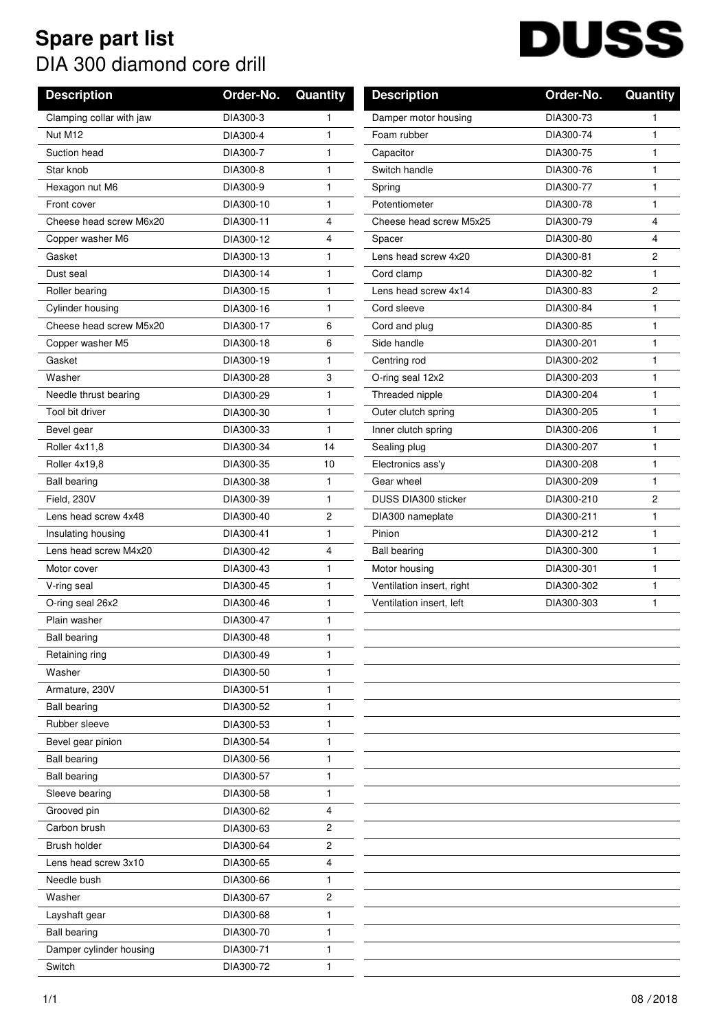## **Spare part list** DIA 300 diamond core drill

## **DUSS**

| Clamping collar with jaw<br>DIA300-73<br>DIA300-3<br>Damper motor housing<br>1.<br>1<br>DIA300-4<br>Foam rubber<br>Nut M12<br>DIA300-74<br>1<br>1<br>DIA300-7<br>DIA300-75<br>Suction head<br>1<br>Capacitor<br>1<br>DIA300-8<br>Switch handle<br>DIA300-76<br>Star knob<br>1<br>1<br>1<br>DIA300-77<br>1<br>Hexagon nut M6<br>DIA300-9<br>Spring<br>DIA300-10<br>Potentiometer<br>DIA300-78<br>Front cover<br>1<br>1<br>DIA300-11<br>Cheese head screw M6x20<br>4<br>Cheese head screw M5x25<br>DIA300-79<br>4<br>4<br>DIA300-80<br>4<br>Copper washer M6<br>DIA300-12<br>Spacer<br>$\overline{c}$<br>Lens head screw 4x20<br>DIA300-81<br>Gasket<br>DIA300-13<br>1<br>DIA300-14<br>DIA300-82<br>1<br>Cord clamp<br>1<br>Dust seal<br>DIA300-83<br>$\overline{c}$<br>DIA300-15<br>1<br>Lens head screw 4x14<br>Roller bearing<br>DIA300-16<br>1<br>Cord sleeve<br>DIA300-84<br>Cylinder housing<br>1<br>Cheese head screw M5x20<br>6<br>DIA300-85<br>DIA300-17<br>Cord and plug<br>1<br>DIA300-18<br>6<br>Side handle<br>DIA300-201<br>1<br>Copper washer M5<br>DIA300-202<br>DIA300-19<br>Gasket<br>1<br>Centring rod<br>1<br>Washer<br>DIA300-28<br>3<br>O-ring seal 12x2<br>DIA300-203<br>1<br>DIA300-204<br>Needle thrust bearing<br>DIA300-29<br>1<br>Threaded nipple<br>1<br>Tool bit driver<br>DIA300-30<br>1<br>Outer clutch spring<br>DIA300-205<br>1<br>DIA300-33<br>1<br>DIA300-206<br>1<br>Inner clutch spring<br>Bevel gear<br>DIA300-207<br>Roller 4x11,8<br>DIA300-34<br>14<br>Sealing plug<br>1<br>DIA300-35<br>10<br>Electronics ass'y<br>DIA300-208<br>1<br>Roller 4x19,8<br>1<br>DIA300-209<br><b>Ball bearing</b><br>DIA300-38<br>Gear wheel<br>1<br>$\overline{c}$<br>Field, 230V<br>DIA300-39<br><b>DUSS DIA300 sticker</b><br>DIA300-210<br>1<br>DIA300-211<br>Lens head screw 4x48<br>2<br>DIA300 nameplate<br>1<br>DIA300-40<br>1<br>DIA300-212<br>1<br>Insulating housing<br>DIA300-41<br>Pinion<br>Lens head screw M4x20<br>DIA300-42<br>DIA300-300<br>4<br><b>Ball bearing</b><br>1<br>DIA300-43<br>1<br>DIA300-301<br>1<br>Motor cover<br>Motor housing<br>DIA300-45<br>DIA300-302<br>V-ring seal<br>1<br>Ventilation insert, right<br>1<br>Ventilation insert, left<br>DIA300-303<br>O-ring seal 26x2<br>DIA300-46<br>1<br>1<br>DIA300-47<br>1<br>Plain washer<br>DIA300-48<br><b>Ball bearing</b><br>1<br>Retaining ring<br>DIA300-49<br>1<br>DIA300-50<br>1<br>Washer<br>Armature, 230V<br>DIA300-51<br>1<br><b>Ball bearing</b><br>DIA300-52<br>1<br>Rubber sleeve<br>1<br>DIA300-53<br>Bevel gear pinion<br>DIA300-54<br>1<br>DIA300-56<br><b>Ball bearing</b><br>1<br><b>Ball bearing</b><br>DIA300-57<br>1<br>DIA300-58<br>Sleeve bearing<br>1<br>4<br>Grooved pin<br>DIA300-62<br>Carbon brush<br>DIA300-63<br>2<br>Brush holder<br>DIA300-64<br>2<br>4<br>Lens head screw 3x10<br>DIA300-65<br>DIA300-66<br>Needle bush<br>1<br>2<br>Washer<br>DIA300-67<br>DIA300-68<br>1<br>Layshaft gear<br><b>Ball bearing</b><br>DIA300-70<br>1<br>DIA300-71<br>Damper cylinder housing<br>1<br>Switch<br>DIA300-72<br>1 | <b>Description</b> | Order-No. | Quantity | <b>Description</b> | Order-No. | Quantity |
|------------------------------------------------------------------------------------------------------------------------------------------------------------------------------------------------------------------------------------------------------------------------------------------------------------------------------------------------------------------------------------------------------------------------------------------------------------------------------------------------------------------------------------------------------------------------------------------------------------------------------------------------------------------------------------------------------------------------------------------------------------------------------------------------------------------------------------------------------------------------------------------------------------------------------------------------------------------------------------------------------------------------------------------------------------------------------------------------------------------------------------------------------------------------------------------------------------------------------------------------------------------------------------------------------------------------------------------------------------------------------------------------------------------------------------------------------------------------------------------------------------------------------------------------------------------------------------------------------------------------------------------------------------------------------------------------------------------------------------------------------------------------------------------------------------------------------------------------------------------------------------------------------------------------------------------------------------------------------------------------------------------------------------------------------------------------------------------------------------------------------------------------------------------------------------------------------------------------------------------------------------------------------------------------------------------------------------------------------------------------------------------------------------------------------------------------------------------------------------------------------------------------------------------------------------------------------------------------------------------------------------------------------------------------------------------------------------------------------------------------------------------------------------------------------------------------------------------------------------------------------------------------------------------------------------------------------------------------------------------------------------------------------------------------------|--------------------|-----------|----------|--------------------|-----------|----------|
|                                                                                                                                                                                                                                                                                                                                                                                                                                                                                                                                                                                                                                                                                                                                                                                                                                                                                                                                                                                                                                                                                                                                                                                                                                                                                                                                                                                                                                                                                                                                                                                                                                                                                                                                                                                                                                                                                                                                                                                                                                                                                                                                                                                                                                                                                                                                                                                                                                                                                                                                                                                                                                                                                                                                                                                                                                                                                                                                                                                                                                                      |                    |           |          |                    |           |          |
|                                                                                                                                                                                                                                                                                                                                                                                                                                                                                                                                                                                                                                                                                                                                                                                                                                                                                                                                                                                                                                                                                                                                                                                                                                                                                                                                                                                                                                                                                                                                                                                                                                                                                                                                                                                                                                                                                                                                                                                                                                                                                                                                                                                                                                                                                                                                                                                                                                                                                                                                                                                                                                                                                                                                                                                                                                                                                                                                                                                                                                                      |                    |           |          |                    |           |          |
|                                                                                                                                                                                                                                                                                                                                                                                                                                                                                                                                                                                                                                                                                                                                                                                                                                                                                                                                                                                                                                                                                                                                                                                                                                                                                                                                                                                                                                                                                                                                                                                                                                                                                                                                                                                                                                                                                                                                                                                                                                                                                                                                                                                                                                                                                                                                                                                                                                                                                                                                                                                                                                                                                                                                                                                                                                                                                                                                                                                                                                                      |                    |           |          |                    |           |          |
|                                                                                                                                                                                                                                                                                                                                                                                                                                                                                                                                                                                                                                                                                                                                                                                                                                                                                                                                                                                                                                                                                                                                                                                                                                                                                                                                                                                                                                                                                                                                                                                                                                                                                                                                                                                                                                                                                                                                                                                                                                                                                                                                                                                                                                                                                                                                                                                                                                                                                                                                                                                                                                                                                                                                                                                                                                                                                                                                                                                                                                                      |                    |           |          |                    |           |          |
|                                                                                                                                                                                                                                                                                                                                                                                                                                                                                                                                                                                                                                                                                                                                                                                                                                                                                                                                                                                                                                                                                                                                                                                                                                                                                                                                                                                                                                                                                                                                                                                                                                                                                                                                                                                                                                                                                                                                                                                                                                                                                                                                                                                                                                                                                                                                                                                                                                                                                                                                                                                                                                                                                                                                                                                                                                                                                                                                                                                                                                                      |                    |           |          |                    |           |          |
|                                                                                                                                                                                                                                                                                                                                                                                                                                                                                                                                                                                                                                                                                                                                                                                                                                                                                                                                                                                                                                                                                                                                                                                                                                                                                                                                                                                                                                                                                                                                                                                                                                                                                                                                                                                                                                                                                                                                                                                                                                                                                                                                                                                                                                                                                                                                                                                                                                                                                                                                                                                                                                                                                                                                                                                                                                                                                                                                                                                                                                                      |                    |           |          |                    |           |          |
|                                                                                                                                                                                                                                                                                                                                                                                                                                                                                                                                                                                                                                                                                                                                                                                                                                                                                                                                                                                                                                                                                                                                                                                                                                                                                                                                                                                                                                                                                                                                                                                                                                                                                                                                                                                                                                                                                                                                                                                                                                                                                                                                                                                                                                                                                                                                                                                                                                                                                                                                                                                                                                                                                                                                                                                                                                                                                                                                                                                                                                                      |                    |           |          |                    |           |          |
|                                                                                                                                                                                                                                                                                                                                                                                                                                                                                                                                                                                                                                                                                                                                                                                                                                                                                                                                                                                                                                                                                                                                                                                                                                                                                                                                                                                                                                                                                                                                                                                                                                                                                                                                                                                                                                                                                                                                                                                                                                                                                                                                                                                                                                                                                                                                                                                                                                                                                                                                                                                                                                                                                                                                                                                                                                                                                                                                                                                                                                                      |                    |           |          |                    |           |          |
|                                                                                                                                                                                                                                                                                                                                                                                                                                                                                                                                                                                                                                                                                                                                                                                                                                                                                                                                                                                                                                                                                                                                                                                                                                                                                                                                                                                                                                                                                                                                                                                                                                                                                                                                                                                                                                                                                                                                                                                                                                                                                                                                                                                                                                                                                                                                                                                                                                                                                                                                                                                                                                                                                                                                                                                                                                                                                                                                                                                                                                                      |                    |           |          |                    |           |          |
|                                                                                                                                                                                                                                                                                                                                                                                                                                                                                                                                                                                                                                                                                                                                                                                                                                                                                                                                                                                                                                                                                                                                                                                                                                                                                                                                                                                                                                                                                                                                                                                                                                                                                                                                                                                                                                                                                                                                                                                                                                                                                                                                                                                                                                                                                                                                                                                                                                                                                                                                                                                                                                                                                                                                                                                                                                                                                                                                                                                                                                                      |                    |           |          |                    |           |          |
|                                                                                                                                                                                                                                                                                                                                                                                                                                                                                                                                                                                                                                                                                                                                                                                                                                                                                                                                                                                                                                                                                                                                                                                                                                                                                                                                                                                                                                                                                                                                                                                                                                                                                                                                                                                                                                                                                                                                                                                                                                                                                                                                                                                                                                                                                                                                                                                                                                                                                                                                                                                                                                                                                                                                                                                                                                                                                                                                                                                                                                                      |                    |           |          |                    |           |          |
|                                                                                                                                                                                                                                                                                                                                                                                                                                                                                                                                                                                                                                                                                                                                                                                                                                                                                                                                                                                                                                                                                                                                                                                                                                                                                                                                                                                                                                                                                                                                                                                                                                                                                                                                                                                                                                                                                                                                                                                                                                                                                                                                                                                                                                                                                                                                                                                                                                                                                                                                                                                                                                                                                                                                                                                                                                                                                                                                                                                                                                                      |                    |           |          |                    |           |          |
|                                                                                                                                                                                                                                                                                                                                                                                                                                                                                                                                                                                                                                                                                                                                                                                                                                                                                                                                                                                                                                                                                                                                                                                                                                                                                                                                                                                                                                                                                                                                                                                                                                                                                                                                                                                                                                                                                                                                                                                                                                                                                                                                                                                                                                                                                                                                                                                                                                                                                                                                                                                                                                                                                                                                                                                                                                                                                                                                                                                                                                                      |                    |           |          |                    |           |          |
|                                                                                                                                                                                                                                                                                                                                                                                                                                                                                                                                                                                                                                                                                                                                                                                                                                                                                                                                                                                                                                                                                                                                                                                                                                                                                                                                                                                                                                                                                                                                                                                                                                                                                                                                                                                                                                                                                                                                                                                                                                                                                                                                                                                                                                                                                                                                                                                                                                                                                                                                                                                                                                                                                                                                                                                                                                                                                                                                                                                                                                                      |                    |           |          |                    |           |          |
|                                                                                                                                                                                                                                                                                                                                                                                                                                                                                                                                                                                                                                                                                                                                                                                                                                                                                                                                                                                                                                                                                                                                                                                                                                                                                                                                                                                                                                                                                                                                                                                                                                                                                                                                                                                                                                                                                                                                                                                                                                                                                                                                                                                                                                                                                                                                                                                                                                                                                                                                                                                                                                                                                                                                                                                                                                                                                                                                                                                                                                                      |                    |           |          |                    |           |          |
|                                                                                                                                                                                                                                                                                                                                                                                                                                                                                                                                                                                                                                                                                                                                                                                                                                                                                                                                                                                                                                                                                                                                                                                                                                                                                                                                                                                                                                                                                                                                                                                                                                                                                                                                                                                                                                                                                                                                                                                                                                                                                                                                                                                                                                                                                                                                                                                                                                                                                                                                                                                                                                                                                                                                                                                                                                                                                                                                                                                                                                                      |                    |           |          |                    |           |          |
|                                                                                                                                                                                                                                                                                                                                                                                                                                                                                                                                                                                                                                                                                                                                                                                                                                                                                                                                                                                                                                                                                                                                                                                                                                                                                                                                                                                                                                                                                                                                                                                                                                                                                                                                                                                                                                                                                                                                                                                                                                                                                                                                                                                                                                                                                                                                                                                                                                                                                                                                                                                                                                                                                                                                                                                                                                                                                                                                                                                                                                                      |                    |           |          |                    |           |          |
|                                                                                                                                                                                                                                                                                                                                                                                                                                                                                                                                                                                                                                                                                                                                                                                                                                                                                                                                                                                                                                                                                                                                                                                                                                                                                                                                                                                                                                                                                                                                                                                                                                                                                                                                                                                                                                                                                                                                                                                                                                                                                                                                                                                                                                                                                                                                                                                                                                                                                                                                                                                                                                                                                                                                                                                                                                                                                                                                                                                                                                                      |                    |           |          |                    |           |          |
|                                                                                                                                                                                                                                                                                                                                                                                                                                                                                                                                                                                                                                                                                                                                                                                                                                                                                                                                                                                                                                                                                                                                                                                                                                                                                                                                                                                                                                                                                                                                                                                                                                                                                                                                                                                                                                                                                                                                                                                                                                                                                                                                                                                                                                                                                                                                                                                                                                                                                                                                                                                                                                                                                                                                                                                                                                                                                                                                                                                                                                                      |                    |           |          |                    |           |          |
|                                                                                                                                                                                                                                                                                                                                                                                                                                                                                                                                                                                                                                                                                                                                                                                                                                                                                                                                                                                                                                                                                                                                                                                                                                                                                                                                                                                                                                                                                                                                                                                                                                                                                                                                                                                                                                                                                                                                                                                                                                                                                                                                                                                                                                                                                                                                                                                                                                                                                                                                                                                                                                                                                                                                                                                                                                                                                                                                                                                                                                                      |                    |           |          |                    |           |          |
|                                                                                                                                                                                                                                                                                                                                                                                                                                                                                                                                                                                                                                                                                                                                                                                                                                                                                                                                                                                                                                                                                                                                                                                                                                                                                                                                                                                                                                                                                                                                                                                                                                                                                                                                                                                                                                                                                                                                                                                                                                                                                                                                                                                                                                                                                                                                                                                                                                                                                                                                                                                                                                                                                                                                                                                                                                                                                                                                                                                                                                                      |                    |           |          |                    |           |          |
|                                                                                                                                                                                                                                                                                                                                                                                                                                                                                                                                                                                                                                                                                                                                                                                                                                                                                                                                                                                                                                                                                                                                                                                                                                                                                                                                                                                                                                                                                                                                                                                                                                                                                                                                                                                                                                                                                                                                                                                                                                                                                                                                                                                                                                                                                                                                                                                                                                                                                                                                                                                                                                                                                                                                                                                                                                                                                                                                                                                                                                                      |                    |           |          |                    |           |          |
|                                                                                                                                                                                                                                                                                                                                                                                                                                                                                                                                                                                                                                                                                                                                                                                                                                                                                                                                                                                                                                                                                                                                                                                                                                                                                                                                                                                                                                                                                                                                                                                                                                                                                                                                                                                                                                                                                                                                                                                                                                                                                                                                                                                                                                                                                                                                                                                                                                                                                                                                                                                                                                                                                                                                                                                                                                                                                                                                                                                                                                                      |                    |           |          |                    |           |          |
|                                                                                                                                                                                                                                                                                                                                                                                                                                                                                                                                                                                                                                                                                                                                                                                                                                                                                                                                                                                                                                                                                                                                                                                                                                                                                                                                                                                                                                                                                                                                                                                                                                                                                                                                                                                                                                                                                                                                                                                                                                                                                                                                                                                                                                                                                                                                                                                                                                                                                                                                                                                                                                                                                                                                                                                                                                                                                                                                                                                                                                                      |                    |           |          |                    |           |          |
|                                                                                                                                                                                                                                                                                                                                                                                                                                                                                                                                                                                                                                                                                                                                                                                                                                                                                                                                                                                                                                                                                                                                                                                                                                                                                                                                                                                                                                                                                                                                                                                                                                                                                                                                                                                                                                                                                                                                                                                                                                                                                                                                                                                                                                                                                                                                                                                                                                                                                                                                                                                                                                                                                                                                                                                                                                                                                                                                                                                                                                                      |                    |           |          |                    |           |          |
|                                                                                                                                                                                                                                                                                                                                                                                                                                                                                                                                                                                                                                                                                                                                                                                                                                                                                                                                                                                                                                                                                                                                                                                                                                                                                                                                                                                                                                                                                                                                                                                                                                                                                                                                                                                                                                                                                                                                                                                                                                                                                                                                                                                                                                                                                                                                                                                                                                                                                                                                                                                                                                                                                                                                                                                                                                                                                                                                                                                                                                                      |                    |           |          |                    |           |          |
|                                                                                                                                                                                                                                                                                                                                                                                                                                                                                                                                                                                                                                                                                                                                                                                                                                                                                                                                                                                                                                                                                                                                                                                                                                                                                                                                                                                                                                                                                                                                                                                                                                                                                                                                                                                                                                                                                                                                                                                                                                                                                                                                                                                                                                                                                                                                                                                                                                                                                                                                                                                                                                                                                                                                                                                                                                                                                                                                                                                                                                                      |                    |           |          |                    |           |          |
|                                                                                                                                                                                                                                                                                                                                                                                                                                                                                                                                                                                                                                                                                                                                                                                                                                                                                                                                                                                                                                                                                                                                                                                                                                                                                                                                                                                                                                                                                                                                                                                                                                                                                                                                                                                                                                                                                                                                                                                                                                                                                                                                                                                                                                                                                                                                                                                                                                                                                                                                                                                                                                                                                                                                                                                                                                                                                                                                                                                                                                                      |                    |           |          |                    |           |          |
|                                                                                                                                                                                                                                                                                                                                                                                                                                                                                                                                                                                                                                                                                                                                                                                                                                                                                                                                                                                                                                                                                                                                                                                                                                                                                                                                                                                                                                                                                                                                                                                                                                                                                                                                                                                                                                                                                                                                                                                                                                                                                                                                                                                                                                                                                                                                                                                                                                                                                                                                                                                                                                                                                                                                                                                                                                                                                                                                                                                                                                                      |                    |           |          |                    |           |          |
|                                                                                                                                                                                                                                                                                                                                                                                                                                                                                                                                                                                                                                                                                                                                                                                                                                                                                                                                                                                                                                                                                                                                                                                                                                                                                                                                                                                                                                                                                                                                                                                                                                                                                                                                                                                                                                                                                                                                                                                                                                                                                                                                                                                                                                                                                                                                                                                                                                                                                                                                                                                                                                                                                                                                                                                                                                                                                                                                                                                                                                                      |                    |           |          |                    |           |          |
|                                                                                                                                                                                                                                                                                                                                                                                                                                                                                                                                                                                                                                                                                                                                                                                                                                                                                                                                                                                                                                                                                                                                                                                                                                                                                                                                                                                                                                                                                                                                                                                                                                                                                                                                                                                                                                                                                                                                                                                                                                                                                                                                                                                                                                                                                                                                                                                                                                                                                                                                                                                                                                                                                                                                                                                                                                                                                                                                                                                                                                                      |                    |           |          |                    |           |          |
|                                                                                                                                                                                                                                                                                                                                                                                                                                                                                                                                                                                                                                                                                                                                                                                                                                                                                                                                                                                                                                                                                                                                                                                                                                                                                                                                                                                                                                                                                                                                                                                                                                                                                                                                                                                                                                                                                                                                                                                                                                                                                                                                                                                                                                                                                                                                                                                                                                                                                                                                                                                                                                                                                                                                                                                                                                                                                                                                                                                                                                                      |                    |           |          |                    |           |          |
|                                                                                                                                                                                                                                                                                                                                                                                                                                                                                                                                                                                                                                                                                                                                                                                                                                                                                                                                                                                                                                                                                                                                                                                                                                                                                                                                                                                                                                                                                                                                                                                                                                                                                                                                                                                                                                                                                                                                                                                                                                                                                                                                                                                                                                                                                                                                                                                                                                                                                                                                                                                                                                                                                                                                                                                                                                                                                                                                                                                                                                                      |                    |           |          |                    |           |          |
|                                                                                                                                                                                                                                                                                                                                                                                                                                                                                                                                                                                                                                                                                                                                                                                                                                                                                                                                                                                                                                                                                                                                                                                                                                                                                                                                                                                                                                                                                                                                                                                                                                                                                                                                                                                                                                                                                                                                                                                                                                                                                                                                                                                                                                                                                                                                                                                                                                                                                                                                                                                                                                                                                                                                                                                                                                                                                                                                                                                                                                                      |                    |           |          |                    |           |          |
|                                                                                                                                                                                                                                                                                                                                                                                                                                                                                                                                                                                                                                                                                                                                                                                                                                                                                                                                                                                                                                                                                                                                                                                                                                                                                                                                                                                                                                                                                                                                                                                                                                                                                                                                                                                                                                                                                                                                                                                                                                                                                                                                                                                                                                                                                                                                                                                                                                                                                                                                                                                                                                                                                                                                                                                                                                                                                                                                                                                                                                                      |                    |           |          |                    |           |          |
|                                                                                                                                                                                                                                                                                                                                                                                                                                                                                                                                                                                                                                                                                                                                                                                                                                                                                                                                                                                                                                                                                                                                                                                                                                                                                                                                                                                                                                                                                                                                                                                                                                                                                                                                                                                                                                                                                                                                                                                                                                                                                                                                                                                                                                                                                                                                                                                                                                                                                                                                                                                                                                                                                                                                                                                                                                                                                                                                                                                                                                                      |                    |           |          |                    |           |          |
|                                                                                                                                                                                                                                                                                                                                                                                                                                                                                                                                                                                                                                                                                                                                                                                                                                                                                                                                                                                                                                                                                                                                                                                                                                                                                                                                                                                                                                                                                                                                                                                                                                                                                                                                                                                                                                                                                                                                                                                                                                                                                                                                                                                                                                                                                                                                                                                                                                                                                                                                                                                                                                                                                                                                                                                                                                                                                                                                                                                                                                                      |                    |           |          |                    |           |          |
|                                                                                                                                                                                                                                                                                                                                                                                                                                                                                                                                                                                                                                                                                                                                                                                                                                                                                                                                                                                                                                                                                                                                                                                                                                                                                                                                                                                                                                                                                                                                                                                                                                                                                                                                                                                                                                                                                                                                                                                                                                                                                                                                                                                                                                                                                                                                                                                                                                                                                                                                                                                                                                                                                                                                                                                                                                                                                                                                                                                                                                                      |                    |           |          |                    |           |          |
|                                                                                                                                                                                                                                                                                                                                                                                                                                                                                                                                                                                                                                                                                                                                                                                                                                                                                                                                                                                                                                                                                                                                                                                                                                                                                                                                                                                                                                                                                                                                                                                                                                                                                                                                                                                                                                                                                                                                                                                                                                                                                                                                                                                                                                                                                                                                                                                                                                                                                                                                                                                                                                                                                                                                                                                                                                                                                                                                                                                                                                                      |                    |           |          |                    |           |          |
|                                                                                                                                                                                                                                                                                                                                                                                                                                                                                                                                                                                                                                                                                                                                                                                                                                                                                                                                                                                                                                                                                                                                                                                                                                                                                                                                                                                                                                                                                                                                                                                                                                                                                                                                                                                                                                                                                                                                                                                                                                                                                                                                                                                                                                                                                                                                                                                                                                                                                                                                                                                                                                                                                                                                                                                                                                                                                                                                                                                                                                                      |                    |           |          |                    |           |          |
|                                                                                                                                                                                                                                                                                                                                                                                                                                                                                                                                                                                                                                                                                                                                                                                                                                                                                                                                                                                                                                                                                                                                                                                                                                                                                                                                                                                                                                                                                                                                                                                                                                                                                                                                                                                                                                                                                                                                                                                                                                                                                                                                                                                                                                                                                                                                                                                                                                                                                                                                                                                                                                                                                                                                                                                                                                                                                                                                                                                                                                                      |                    |           |          |                    |           |          |
|                                                                                                                                                                                                                                                                                                                                                                                                                                                                                                                                                                                                                                                                                                                                                                                                                                                                                                                                                                                                                                                                                                                                                                                                                                                                                                                                                                                                                                                                                                                                                                                                                                                                                                                                                                                                                                                                                                                                                                                                                                                                                                                                                                                                                                                                                                                                                                                                                                                                                                                                                                                                                                                                                                                                                                                                                                                                                                                                                                                                                                                      |                    |           |          |                    |           |          |
|                                                                                                                                                                                                                                                                                                                                                                                                                                                                                                                                                                                                                                                                                                                                                                                                                                                                                                                                                                                                                                                                                                                                                                                                                                                                                                                                                                                                                                                                                                                                                                                                                                                                                                                                                                                                                                                                                                                                                                                                                                                                                                                                                                                                                                                                                                                                                                                                                                                                                                                                                                                                                                                                                                                                                                                                                                                                                                                                                                                                                                                      |                    |           |          |                    |           |          |
|                                                                                                                                                                                                                                                                                                                                                                                                                                                                                                                                                                                                                                                                                                                                                                                                                                                                                                                                                                                                                                                                                                                                                                                                                                                                                                                                                                                                                                                                                                                                                                                                                                                                                                                                                                                                                                                                                                                                                                                                                                                                                                                                                                                                                                                                                                                                                                                                                                                                                                                                                                                                                                                                                                                                                                                                                                                                                                                                                                                                                                                      |                    |           |          |                    |           |          |
|                                                                                                                                                                                                                                                                                                                                                                                                                                                                                                                                                                                                                                                                                                                                                                                                                                                                                                                                                                                                                                                                                                                                                                                                                                                                                                                                                                                                                                                                                                                                                                                                                                                                                                                                                                                                                                                                                                                                                                                                                                                                                                                                                                                                                                                                                                                                                                                                                                                                                                                                                                                                                                                                                                                                                                                                                                                                                                                                                                                                                                                      |                    |           |          |                    |           |          |
|                                                                                                                                                                                                                                                                                                                                                                                                                                                                                                                                                                                                                                                                                                                                                                                                                                                                                                                                                                                                                                                                                                                                                                                                                                                                                                                                                                                                                                                                                                                                                                                                                                                                                                                                                                                                                                                                                                                                                                                                                                                                                                                                                                                                                                                                                                                                                                                                                                                                                                                                                                                                                                                                                                                                                                                                                                                                                                                                                                                                                                                      |                    |           |          |                    |           |          |
|                                                                                                                                                                                                                                                                                                                                                                                                                                                                                                                                                                                                                                                                                                                                                                                                                                                                                                                                                                                                                                                                                                                                                                                                                                                                                                                                                                                                                                                                                                                                                                                                                                                                                                                                                                                                                                                                                                                                                                                                                                                                                                                                                                                                                                                                                                                                                                                                                                                                                                                                                                                                                                                                                                                                                                                                                                                                                                                                                                                                                                                      |                    |           |          |                    |           |          |
|                                                                                                                                                                                                                                                                                                                                                                                                                                                                                                                                                                                                                                                                                                                                                                                                                                                                                                                                                                                                                                                                                                                                                                                                                                                                                                                                                                                                                                                                                                                                                                                                                                                                                                                                                                                                                                                                                                                                                                                                                                                                                                                                                                                                                                                                                                                                                                                                                                                                                                                                                                                                                                                                                                                                                                                                                                                                                                                                                                                                                                                      |                    |           |          |                    |           |          |
|                                                                                                                                                                                                                                                                                                                                                                                                                                                                                                                                                                                                                                                                                                                                                                                                                                                                                                                                                                                                                                                                                                                                                                                                                                                                                                                                                                                                                                                                                                                                                                                                                                                                                                                                                                                                                                                                                                                                                                                                                                                                                                                                                                                                                                                                                                                                                                                                                                                                                                                                                                                                                                                                                                                                                                                                                                                                                                                                                                                                                                                      |                    |           |          |                    |           |          |
|                                                                                                                                                                                                                                                                                                                                                                                                                                                                                                                                                                                                                                                                                                                                                                                                                                                                                                                                                                                                                                                                                                                                                                                                                                                                                                                                                                                                                                                                                                                                                                                                                                                                                                                                                                                                                                                                                                                                                                                                                                                                                                                                                                                                                                                                                                                                                                                                                                                                                                                                                                                                                                                                                                                                                                                                                                                                                                                                                                                                                                                      |                    |           |          |                    |           |          |